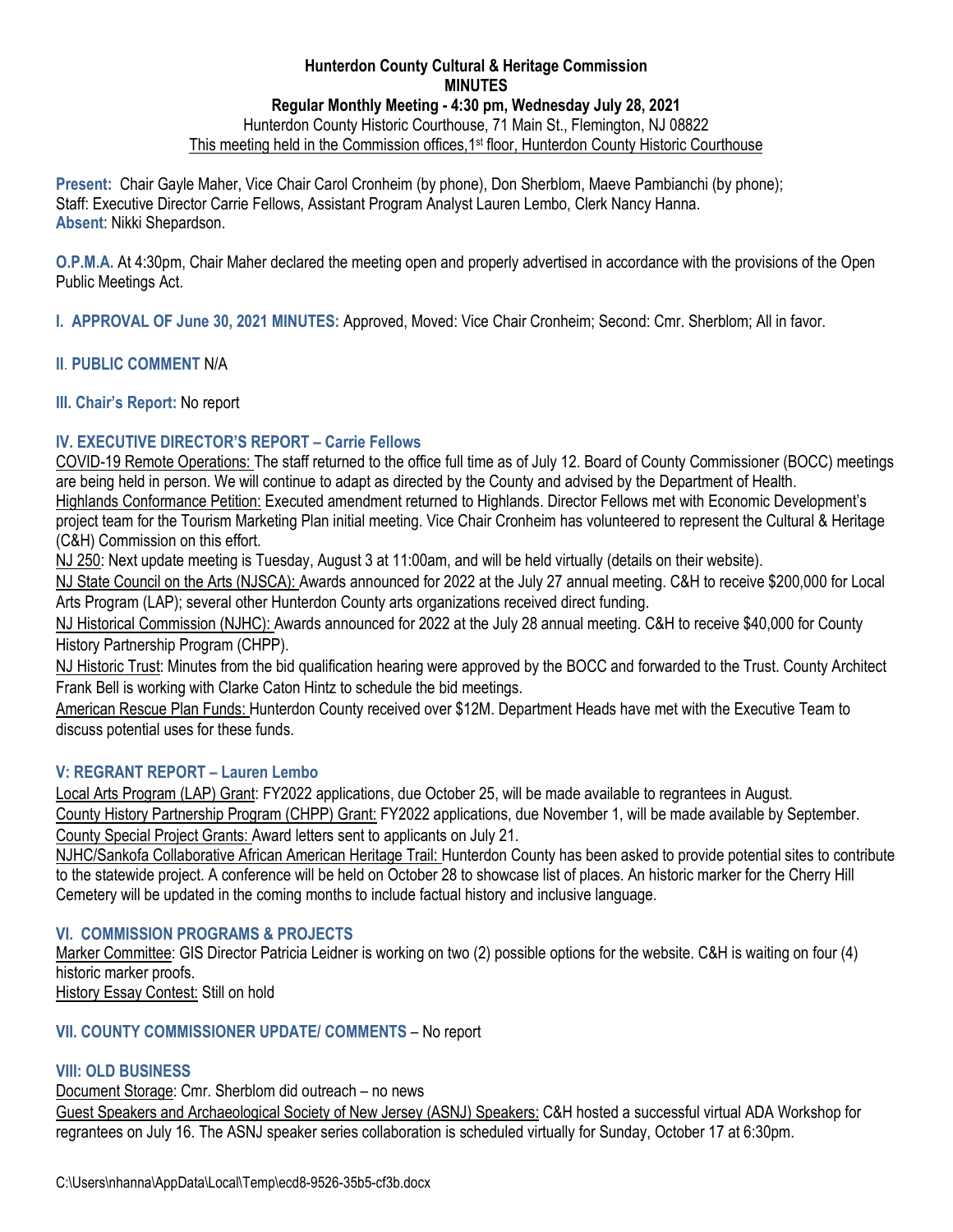## **Hunterdon County Cultural & Heritage Commission MINUTES Regular Monthly Meeting - 4:30 pm, Wednesday July 28, 2021**  Hunterdon County Historic Courthouse, 71 Main St., Flemington, NJ 08822 This meeting held in the Commission offices, 1<sup>st</sup> floor, Hunterdon County Historic Courthouse

**Present:** Chair Gayle Maher, Vice Chair Carol Cronheim (by phone), Don Sherblom, Maeve Pambianchi (by phone); Staff: Executive Director Carrie Fellows, Assistant Program Analyst Lauren Lembo, Clerk Nancy Hanna. **Absent**: Nikki Shepardson.

**O.P.M.A.** At 4:30pm, Chair Maher declared the meeting open and properly advertised in accordance with the provisions of the Open Public Meetings Act.

**I. APPROVAL OF June 30, 2021 MINUTES:** Approved, Moved: Vice Chair Cronheim; Second: Cmr. Sherblom; All in favor.

## **II**. **PUBLIC COMMENT** N/A

**III. Chair's Report:** No report

# **IV. EXECUTIVE DIRECTOR'S REPORT – Carrie Fellows**

COVID-19 Remote Operations: The staff returned to the office full time as of July 12. Board of County Commissioner (BOCC) meetings are being held in person. We will continue to adapt as directed by the County and advised by the Department of Health. Highlands Conformance Petition: Executed amendment returned to Highlands. Director Fellows met with Economic Development's project team for the Tourism Marketing Plan initial meeting. Vice Chair Cronheim has volunteered to represent the Cultural & Heritage (C&H) Commission on this effort.

NJ 250: Next update meeting is Tuesday, August 3 at 11:00am, and will be held virtually (details on their website).

NJ State Council on the Arts (NJSCA): Awards announced for 2022 at the July 27 annual meeting. C&H to receive \$200,000 for Local Arts Program (LAP); several other Hunterdon County arts organizations received direct funding.

NJ Historical Commission (NJHC): Awards announced for 2022 at the July 28 annual meeting. C&H to receive \$40,000 for County History Partnership Program (CHPP).

NJ Historic Trust: Minutes from the bid qualification hearing were approved by the BOCC and forwarded to the Trust. County Architect Frank Bell is working with Clarke Caton Hintz to schedule the bid meetings.

American Rescue Plan Funds: Hunterdon County received over \$12M. Department Heads have met with the Executive Team to discuss potential uses for these funds.

## **V: REGRANT REPORT – Lauren Lembo**

Local Arts Program (LAP) Grant: FY2022 applications, due October 25, will be made available to regrantees in August. County History Partnership Program (CHPP) Grant: FY2022 applications, due November 1, will be made available by September. County Special Project Grants: Award letters sent to applicants on July 21.

NJHC/Sankofa Collaborative African American Heritage Trail: Hunterdon County has been asked to provide potential sites to contribute to the statewide project. A conference will be held on October 28 to showcase list of places. An historic marker for the Cherry Hill Cemetery will be updated in the coming months to include factual history and inclusive language.

# **VI. COMMISSION PROGRAMS & PROJECTS**

Marker Committee: GIS Director Patricia Leidner is working on two (2) possible options for the website. C&H is waiting on four (4) historic marker proofs.

History Essay Contest: Still on hold

## **VII. COUNTY COMMISSIONER UPDATE/ COMMENTS** – No report

## **VIII: OLD BUSINESS**

Document Storage: Cmr. Sherblom did outreach – no news Guest Speakers and Archaeological Society of New Jersey (ASNJ) Speakers: C&H hosted a successful virtual ADA Workshop for regrantees on July 16. The ASNJ speaker series collaboration is scheduled virtually for Sunday, October 17 at 6:30pm.